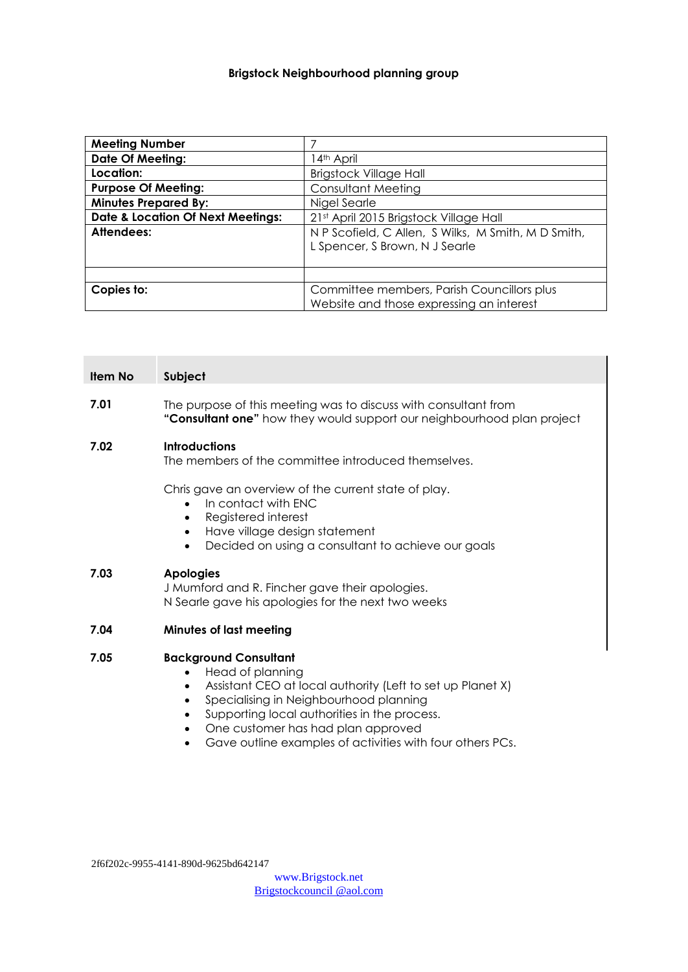# **Brigstock Neighbourhood planning group**

| <b>Meeting Number</b>                        |                                                     |  |
|----------------------------------------------|-----------------------------------------------------|--|
| <b>Date Of Meeting:</b>                      | 14th April                                          |  |
| Location:                                    | <b>Brigstock Village Hall</b>                       |  |
| <b>Purpose Of Meeting:</b>                   | <b>Consultant Meeting</b>                           |  |
| <b>Minutes Prepared By:</b>                  | Nigel Searle                                        |  |
| <b>Date &amp; Location Of Next Meetings:</b> | 21st April 2015 Brigstock Village Hall              |  |
| Attendees:                                   | N P Scofield, C Allen, S Wilks, M Smith, M D Smith, |  |
|                                              | L Spencer, S Brown, N J Searle                      |  |
|                                              |                                                     |  |
|                                              |                                                     |  |
| Copies to:                                   | Committee members, Parish Councillors plus          |  |
|                                              | Website and those expressing an interest            |  |

| Item No | Subject                                                                                                                                                                                                                          |
|---------|----------------------------------------------------------------------------------------------------------------------------------------------------------------------------------------------------------------------------------|
| 7.01    | The purpose of this meeting was to discuss with consultant from<br>"Consultant one" how they would support our neighbourhood plan project                                                                                        |
| 7.02    | <b>Introductions</b><br>The members of the committee introduced themselves.                                                                                                                                                      |
|         | Chris gave an overview of the current state of play.<br>In contact with ENC<br>$\bullet$<br>Registered interest<br>$\bullet$<br>Have village design statement<br>$\bullet$<br>Decided on using a consultant to achieve our goals |
| 7.03    | <b>Apologies</b><br>J Mumford and R. Fincher gave their apologies.<br>N Searle gave his apologies for the next two weeks                                                                                                         |
| 7.04    | <b>Minutes of last meeting</b>                                                                                                                                                                                                   |
| 7.05    | <b>Background Consultant</b><br>Head of planning<br>Assistant CEO at local authority (Left to set up Planet X)<br>Specialising in Neighbourhood planning                                                                         |

- Supporting local authorities in the process.
- One customer has had plan approved
- Gave outline examples of activities with four others PCs.

2f6f202c-9955-4141-890d-9625bd642147

[www.Brigstock.net](http://www.brigstock.net/) Brigstockcouncil @aol.com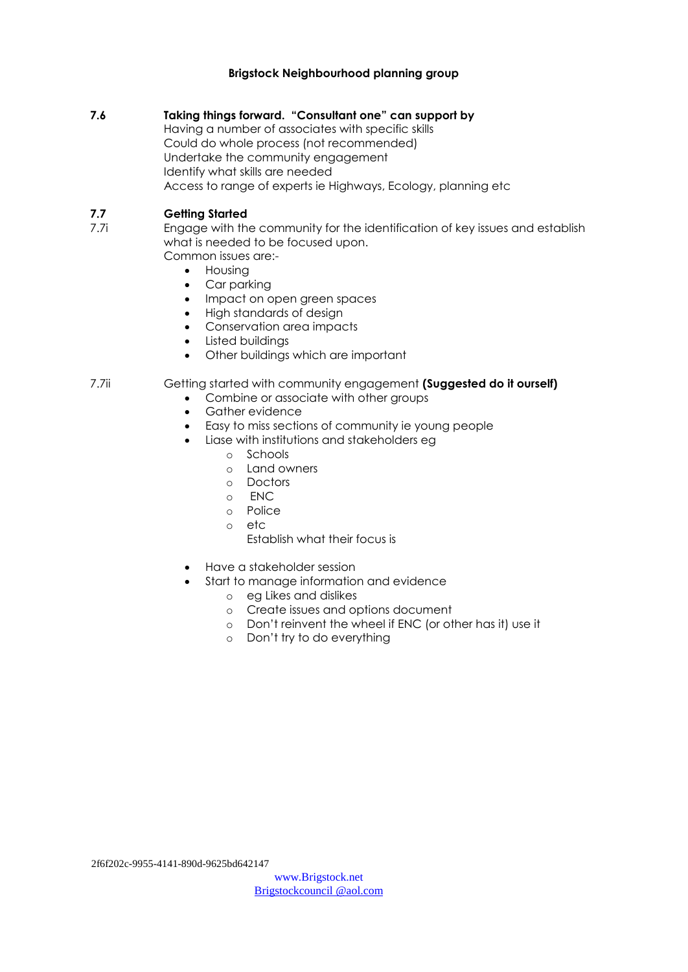### **Brigstock Neighbourhood planning group**

### **7.6 Taking things forward. "Consultant one" can support by**

Having a number of associates with specific skills Could do whole process (not recommended) Undertake the community engagement Identify what skills are needed Access to range of experts ie Highways, Ecology, planning etc

# **7.7 Getting Started**

- 7.7i Engage with the community for the identification of key issues and establish what is needed to be focused upon. Common issues are:-
	- **•** Housing
	- Car parking
	- Impact on open green spaces
	- High standards of design
	- Conservation area impacts
	- Listed buildings
	- Other buildings which are important

# 7.7ii Getting started with community engagement **(Suggested do it ourself)**

- Combine or associate with other groups
- Gather evidence
- Easy to miss sections of community ie young people
- Liase with institutions and stakeholders eg
	- o Schools
	- o Land owners
	- o Doctors
	- o ENC
	- o Police
	- o etc
		- Establish what their focus is
- Have a stakeholder session
	- Start to manage information and evidence
		- o eg Likes and dislikes
		- o Create issues and options document
		- o Don't reinvent the wheel if ENC (or other has it) use it
			- o Don't try to do everything

2f6f202c-9955-4141-890d-9625bd642147

[www.Brigstock.net](http://www.brigstock.net/) Brigstockcouncil @aol.com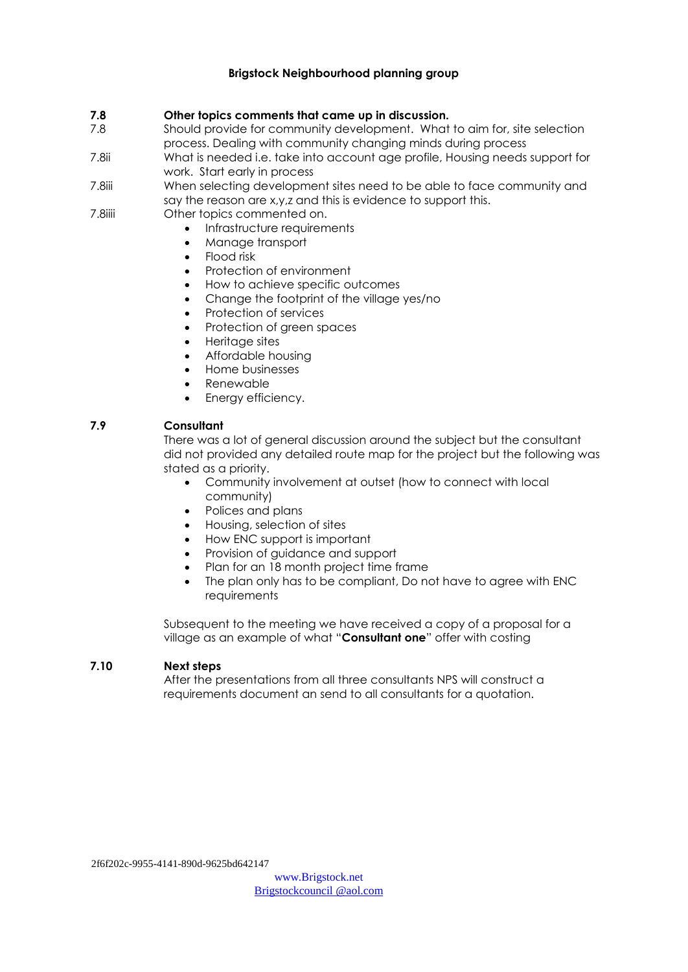# **Brigstock Neighbourhood planning group**

#### **7.8 Other topics comments that came up in discussion.**

- 7.8 Should provide for community development. What to aim for, site selection process. Dealing with community changing minds during process
- 7.8ii What is needed i.e. take into account age profile, Housing needs support for work. Start early in process
- 7.8iii When selecting development sites need to be able to face community and say the reason are x,y,z and this is evidence to support this.
- 7.8iiii Other topics commented on.
	- Infrastructure requirements
	- Manage transport
	- Flood risk
	- Protection of environment
	- How to achieve specific outcomes
	- Change the footprint of the village yes/no
	- Protection of services
	- Protection of green spaces
	- Heritage sites
	- Affordable housing
	- Home businesses
	- Renewable
	- Energy efficiency.

# **7.9 Consultant**

There was a lot of general discussion around the subject but the consultant did not provided any detailed route map for the project but the following was stated as a priority.

- Community involvement at outset (how to connect with local community)
- Polices and plans
- Housing, selection of sites
- How ENC support is important
- Provision of guidance and support
- Plan for an 18 month project time frame
- The plan only has to be compliant, Do not have to agree with ENC requirements

Subsequent to the meeting we have received a copy of a proposal for a village as an example of what "**Consultant one**" offer with costing

#### **7.10 Next steps**

After the presentations from all three consultants NPS will construct a requirements document an send to all consultants for a quotation.

2f6f202c-9955-4141-890d-9625bd642147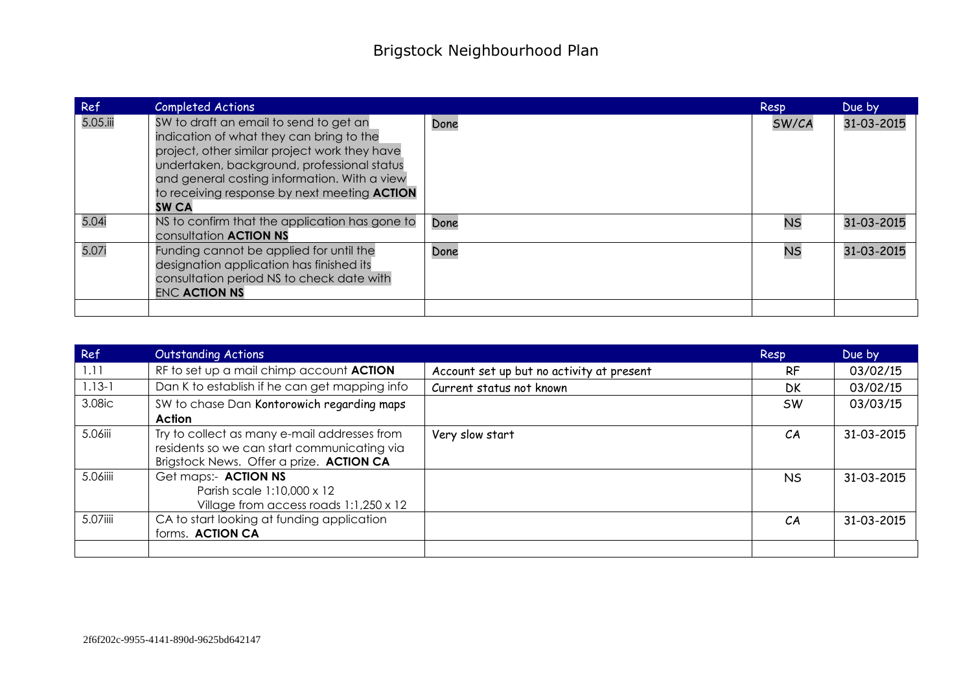| Ref      | <b>Completed Actions</b>                                                                                                                                                                                                                                                                                  |      | Resp      | Due by     |
|----------|-----------------------------------------------------------------------------------------------------------------------------------------------------------------------------------------------------------------------------------------------------------------------------------------------------------|------|-----------|------------|
| 5.05.iii | SW to draft an email to send to get an<br>indication of what they can bring to the<br>project, other similar project work they have<br>undertaken, background, professional status<br>and general costing information. With a view<br>to receiving response by next meeting <b>ACTION</b><br><b>SW CA</b> | Done | SW/CA     | 31-03-2015 |
| 5.04i    | NS to confirm that the application has gone to<br>consultation <b>ACTION NS</b>                                                                                                                                                                                                                           | Done | <b>NS</b> | 31-03-2015 |
| 5.07i    | Funding cannot be applied for until the<br>designation application has finished its<br>consultation period NS to check date with<br><b>ENC ACTION NS</b>                                                                                                                                                  | Done | <b>NS</b> | 31-03-2015 |
|          |                                                                                                                                                                                                                                                                                                           |      |           |            |

| Ref        | <b>Outstanding Actions</b>                                                                   |                                           | Resp      | Due by     |
|------------|----------------------------------------------------------------------------------------------|-------------------------------------------|-----------|------------|
| 1.11       | RF to set up a mail chimp account ACTION                                                     | Account set up but no activity at present | <b>RF</b> | 03/02/15   |
| $1.13 - 1$ | Dan K to establish if he can get mapping info                                                | Current status not known                  | DK        | 03/02/15   |
| 3.08ic     | SW to chase Dan Kontorowich regarding maps                                                   |                                           | <b>SW</b> | 03/03/15   |
|            | Action                                                                                       |                                           |           |            |
| 5.06iii    | Try to collect as many e-mail addresses from<br>residents so we can start communicating via  | Very slow start                           | CA        | 31-03-2015 |
|            | Brigstock News. Offer a prize. ACTION CA                                                     |                                           |           |            |
| 5.06iiii   | Get maps:- ACTION NS<br>Parish scale 1:10,000 x 12<br>Village from access roads 1:1,250 x 12 |                                           | NS.       | 31-03-2015 |
| 5.07iiii   | CA to start looking at funding application<br>forms. ACTION CA                               |                                           | CA        | 31-03-2015 |
|            |                                                                                              |                                           |           |            |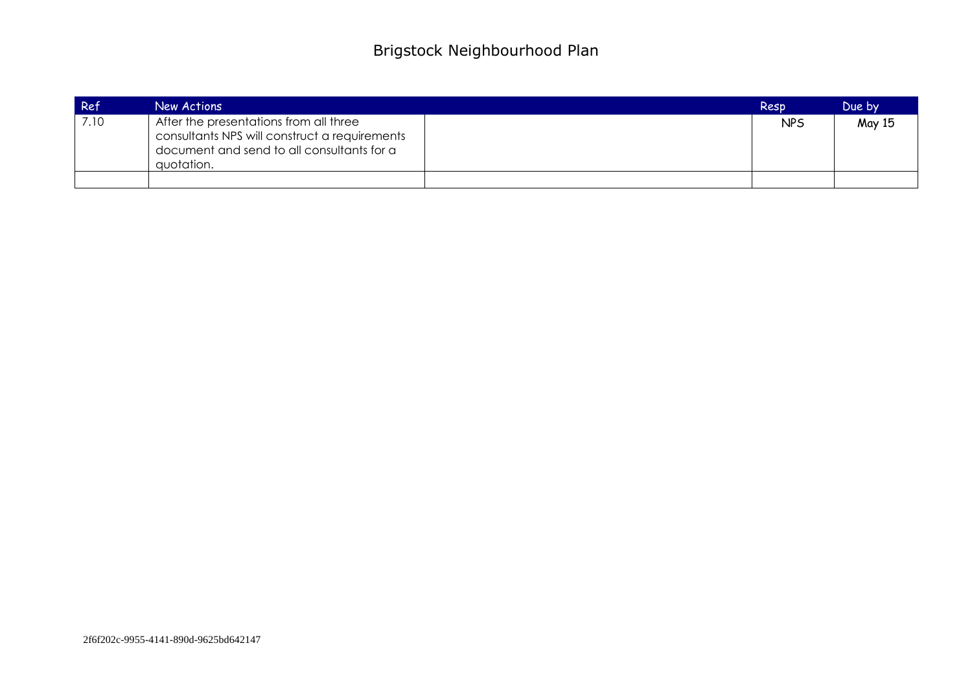| Ref  | New Actions                                                                                                                                         | Resp       | Due by |
|------|-----------------------------------------------------------------------------------------------------------------------------------------------------|------------|--------|
| 7.10 | After the presentations from all three<br>consultants NPS will construct a requirements<br>document and send to all consultants for a<br>quotation. | <b>NPS</b> | May 15 |
|      |                                                                                                                                                     |            |        |